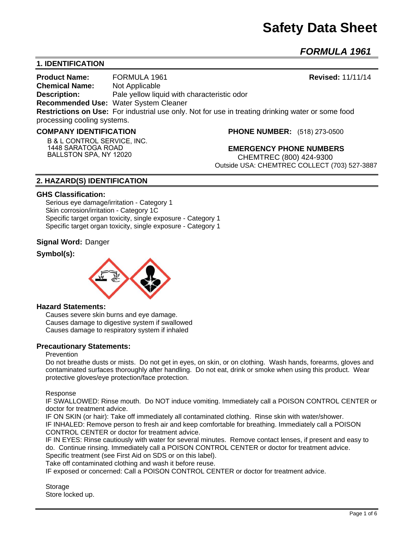# **Safety Data Sheet**

*FORMULA 1961* 

# **1. IDENTIFICATION**

**Product Name:** FORMULA 1961 **Revised:** 11/11/14 **Chemical Name:** Not Applicable **Description:** Pale yellow liquid with characteristic odor **Recommended Use:** Water System Cleaner **Restrictions on Use:** For industrial use only. Not for use in treating drinking water or some food processing cooling systems.

#### **COMPANY IDENTIFICATION**

**B & L CONTROL SERVICE, INC. 1448 SARATOGA ROAD BALLSTON SPA, NY 12020**

**PHONE NUMBER:** (518) 273-0500

**EMERGENCY PHONE NUMBERS** CHEMTREC (800) 424-9300 Outside USA: CHEMTREC COLLECT (703) 527-3887

# **2. HAZARD(S) IDENTIFICATION**

#### **GHS Classification:**

Serious eye damage/irritation - Category 1 Skin corrosion/irritation - Category 1C Specific target organ toxicity, single exposure - Category 1 Specific target organ toxicity, single exposure - Category 1

#### **Signal Word:** Danger

# **Symbol(s):**



#### **Hazard Statements:**

Causes severe skin burns and eye damage. Causes damage to digestive system if swallowed Causes damage to respiratory system if inhaled

#### **Precautionary Statements:**

#### Prevention

Do not breathe dusts or mists. Do not get in eyes, on skin, or on clothing. Wash hands, forearms, gloves and contaminated surfaces thoroughly after handling. Do not eat, drink or smoke when using this product. Wear protective gloves/eye protection/face protection.

Response

IF SWALLOWED: Rinse mouth. Do NOT induce vomiting. Immediately call a POISON CONTROL CENTER or doctor for treatment advice.

IF ON SKIN (or hair): Take off immediately all contaminated clothing. Rinse skin with water/shower. IF INHALED: Remove person to fresh air and keep comfortable for breathing. Immediately call a POISON CONTROL CENTER or doctor for treatment advice.

IF IN EYES: Rinse cautiously with water for several minutes. Remove contact lenses, if present and easy to do. Continue rinsing. Immediately call a POISON CONTROL CENTER or doctor for treatment advice. Specific treatment (see First Aid on SDS or on this label).

Take off contaminated clothing and wash it before reuse.

IF exposed or concerned: Call a POISON CONTROL CENTER or doctor for treatment advice.

Storage Store locked up.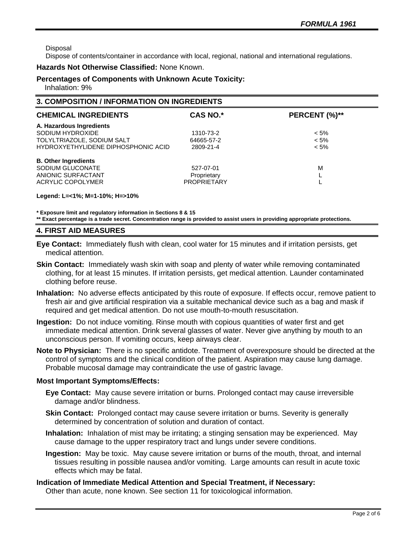Disposal

Dispose of contents/container in accordance with local, regional, national and international regulations.

#### **Hazards Not Otherwise Classified:** None Known.

# **Percentages of Components with Unknown Acute Toxicity:**

Inhalation: 9%

# **3. COMPOSITION / INFORMATION ON INGREDIENTS**

| <b>CHEMICAL INGREDIENTS</b>         | <b>CAS NO.*</b>    | PERCENT (%)** |
|-------------------------------------|--------------------|---------------|
| A. Hazardous Ingredients            |                    |               |
| SODIUM HYDROXIDE                    | 1310-73-2          | $< 5\%$       |
| TOLYLTRIAZOLE, SODIUM SALT          | 64665-57-2         | $< 5\%$       |
| HYDROXYETHYLIDENE DIPHOSPHONIC ACID | 2809-21-4          | $< 5\%$       |
| <b>B. Other Ingredients</b>         |                    |               |
| SODIUM GLUCONATE                    | 527-07-01          | M             |
| ANIONIC SURFACTANT                  | Proprietary        |               |
| ACRYLIC COPOLYMER                   | <b>PROPRIETARY</b> |               |
|                                     |                    |               |

**Legend: L=<1%; M=1-10%; H=>10%**

**\* Exposure limit and regulatory information in Sections 8 & 15**

**\*\* Exact percentage is a trade secret. Concentration range is provided to assist users in providing appropriate protections.**

#### **4. FIRST AID MEASURES**

- **Eye Contact:** Immediately flush with clean, cool water for 15 minutes and if irritation persists, get medical attention.
- **Skin Contact:** Immediately wash skin with soap and plenty of water while removing contaminated clothing, for at least 15 minutes. If irritation persists, get medical attention. Launder contaminated clothing before reuse.
- **Inhalation:** No adverse effects anticipated by this route of exposure. If effects occur, remove patient to fresh air and give artificial respiration via a suitable mechanical device such as a bag and mask if required and get medical attention. Do not use mouth-to-mouth resuscitation.
- **Ingestion:** Do not induce vomiting. Rinse mouth with copious quantities of water first and get immediate medical attention. Drink several glasses of water. Never give anything by mouth to an unconscious person. If vomiting occurs, keep airways clear.
- **Note to Physician:** There is no specific antidote. Treatment of overexposure should be directed at the control of symptoms and the clinical condition of the patient. Aspiration may cause lung damage. Probable mucosal damage may contraindicate the use of gastric lavage.

#### **Most Important Symptoms/Effects:**

- **Eye Contact:** May cause severe irritation or burns. Prolonged contact may cause irreversible damage and/or blindness.
- **Skin Contact:** Prolonged contact may cause severe irritation or burns. Severity is generally determined by concentration of solution and duration of contact.
- **Inhalation:** Inhalation of mist may be irritating; a stinging sensation may be experienced. May cause damage to the upper respiratory tract and lungs under severe conditions.
- **Ingestion:** May be toxic. May cause severe irritation or burns of the mouth, throat, and internal tissues resulting in possible nausea and/or vomiting. Large amounts can result in acute toxic effects which may be fatal.

**Indication of Immediate Medical Attention and Special Treatment, if Necessary:** Other than acute, none known. See section 11 for toxicological information.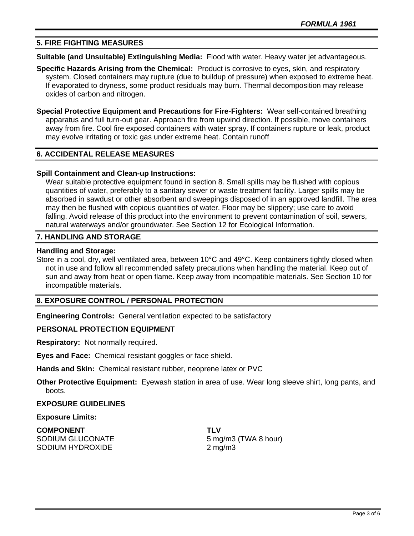# **5. FIRE FIGHTING MEASURES**

**Suitable (and Unsuitable) Extinguishing Media:** Flood with water. Heavy water jet advantageous.

- **Specific Hazards Arising from the Chemical:** Product is corrosive to eyes, skin, and respiratory system. Closed containers may rupture (due to buildup of pressure) when exposed to extreme heat. If evaporated to dryness, some product residuals may burn. Thermal decomposition may release oxides of carbon and nitrogen.
- **Special Protective Equipment and Precautions for Fire-Fighters:** Wear self-contained breathing apparatus and full turn-out gear. Approach fire from upwind direction. If possible, move containers away from fire. Cool fire exposed containers with water spray. If containers rupture or leak, product may evolve irritating or toxic gas under extreme heat. Contain runoff

#### **6. ACCIDENTAL RELEASE MEASURES**

#### **Spill Containment and Clean-up Instructions:**

Wear suitable protective equipment found in section 8. Small spills may be flushed with copious quantities of water, preferably to a sanitary sewer or waste treatment facility. Larger spills may be absorbed in sawdust or other absorbent and sweepings disposed of in an approved landfill. The area may then be flushed with copious quantities of water. Floor may be slippery; use care to avoid falling. Avoid release of this product into the environment to prevent contamination of soil, sewers, natural waterways and/or groundwater. See Section 12 for Ecological Information.

#### **7. HANDLING AND STORAGE**

#### **Handling and Storage:**

Store in a cool, dry, well ventilated area, between 10°C and 49°C. Keep containers tightly closed when not in use and follow all recommended safety precautions when handling the material. Keep out of sun and away from heat or open flame. Keep away from incompatible materials. See Section 10 for incompatible materials.

#### **8. EXPOSURE CONTROL / PERSONAL PROTECTION**

**Engineering Controls:** General ventilation expected to be satisfactory

#### **PERSONAL PROTECTION EQUIPMENT**

**Respiratory:** Not normally required.

**Eyes and Face:** Chemical resistant goggles or face shield.

**Hands and Skin:** Chemical resistant rubber, neoprene latex or PVC

**Other Protective Equipment:** Eyewash station in area of use. Wear long sleeve shirt, long pants, and boots.

#### **EXPOSURE GUIDELINES**

#### **Exposure Limits:**

**COMPONENT TLV** SODIUM GLUCONATE 5 mg/m3 (TWA 8 hour) SODIUM HYDROXIDE 2 mg/m3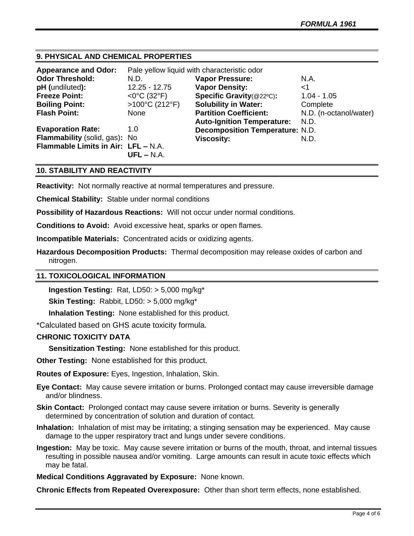# **9. PHYSICAL AND CHEMICAL PROPERTIES**

| <b>Appearance and Odor:</b>         | Pale yellow liquid with characteristic odor |                                        |                        |
|-------------------------------------|---------------------------------------------|----------------------------------------|------------------------|
| <b>Odor Threshold:</b>              | N.D.                                        | <b>Vapor Pressure:</b>                 | N.A.                   |
| pH (undiluted):                     | $12.25 - 12.75$                             | <b>Vapor Density:</b>                  | <1                     |
| <b>Freeze Point:</b>                | $<$ 0°C (32°F)                              | Specific Gravity(@22°C):               | $1.04 - 1.05$          |
| <b>Boiling Point:</b>               | $>100^{\circ}$ C (212°F)                    | <b>Solubility in Water:</b>            | Complete               |
| <b>Flash Point:</b>                 | None                                        | <b>Partition Coefficient:</b>          | N.D. (n-octanol/water) |
|                                     |                                             | <b>Auto-Ignition Temperature:</b>      | N.D.                   |
| <b>Evaporation Rate:</b>            | 1.0                                         | <b>Decomposition Temperature: N.D.</b> |                        |
| Flammability (solid, gas): No       |                                             | <b>Viscosity:</b>                      | N.D.                   |
| Flammable Limits in Air: LFL - N.A. |                                             |                                        |                        |
|                                     | $UFL - N.A.$                                |                                        |                        |

# **10. STABILITY AND REACTIVITY**

**Reactivity:** Not normally reactive at normal temperatures and pressure.

**Chemical Stability:** Stable under normal conditions

**Possibility of Hazardous Reactions:** Will not occur under normal conditions.

**Conditions to Avoid:** Avoid excessive heat, sparks or open flames.

**Incompatible Materials:** Concentrated acids or oxidizing agents.

**Hazardous Decomposition Products:** Thermal decomposition may release oxides of carbon and nitrogen.

#### **11. TOXICOLOGICAL INFORMATION**

**Ingestion Testing:** Rat, LD50: > 5,000 mg/kg\*

**Skin Testing:** Rabbit, LD50: > 5,000 mg/kg\*

**Inhalation Testing:** None established for this product.

\*Calculated based on GHS acute toxicity formula.

## **CHRONIC TOXICITY DATA**

**Sensitization Testing:** None established for this product.

**Other Testing:** None established for this product.

**Routes of Exposure:** Eyes, Ingestion, Inhalation, Skin.

**Eye Contact:** May cause severe irritation or burns. Prolonged contact may cause irreversible damage and/or blindness.

**Skin Contact:** Prolonged contact may cause severe irritation or burns. Severity is generally determined by concentration of solution and duration of contact.

**Inhalation:** Inhalation of mist may be irritating; a stinging sensation may be experienced. May cause damage to the upper respiratory tract and lungs under severe conditions.

**Ingestion:** May be toxic. May cause severe irritation or burns of the mouth, throat, and internal tissues resulting in possible nausea and/or vomiting. Large amounts can result in acute toxic effects which may be fatal.

**Medical Conditions Aggravated by Exposure:** None known.

**Chronic Effects from Repeated Overexposure:** Other than short term effects, none established.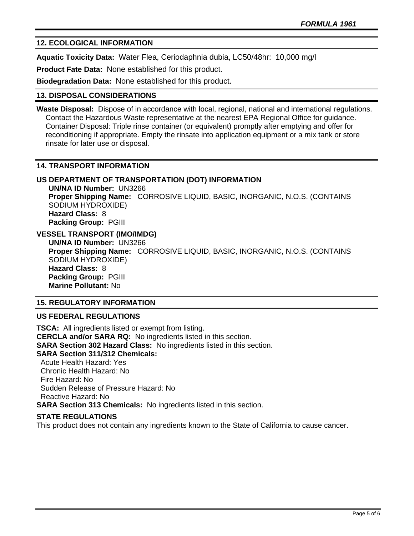# **12. ECOLOGICAL INFORMATION**

**Aquatic Toxicity Data:** Water Flea, Ceriodaphnia dubia, LC50/48hr: 10,000 mg/l

**Product Fate Data:** None established for this product.

**Biodegradation Data:** None established for this product.

#### **13. DISPOSAL CONSIDERATIONS**

**Waste Disposal:** Dispose of in accordance with local, regional, national and international regulations. Contact the Hazardous Waste representative at the nearest EPA Regional Office for guidance. Container Disposal: Triple rinse container (or equivalent) promptly after emptying and offer for reconditioning if appropriate. Empty the rinsate into application equipment or a mix tank or store rinsate for later use or disposal.

#### **14. TRANSPORT INFORMATION**

#### **US DEPARTMENT OF TRANSPORTATION (DOT) INFORMATION**

**UN/NA ID Number:** UN3266 **Proper Shipping Name:** CORROSIVE LIQUID, BASIC, INORGANIC, N.O.S. (CONTAINS SODIUM HYDROXIDE) **Hazard Class:** 8 **Packing Group:** PGIII

**VESSEL TRANSPORT (IMO/IMDG)**

**UN/NA ID Number:** UN3266 **Proper Shipping Name:** CORROSIVE LIQUID, BASIC, INORGANIC, N.O.S. (CONTAINS SODIUM HYDROXIDE) **Hazard Class:** 8 **Packing Group:** PGIII **Marine Pollutant:** No

#### **15. REGULATORY INFORMATION**

#### **US FEDERAL REGULATIONS**

**TSCA:** All ingredients listed or exempt from listing. **CERCLA and/or SARA RQ:** No ingredients listed in this section. **SARA Section 302 Hazard Class:** No ingredients listed in this section. **SARA Section 311/312 Chemicals:**  Acute Health Hazard: Yes Chronic Health Hazard: No Fire Hazard: No Sudden Release of Pressure Hazard: No Reactive Hazard: No **SARA Section 313 Chemicals:** No ingredients listed in this section.

# **STATE REGULATIONS**

This product does not contain any ingredients known to the State of California to cause cancer.